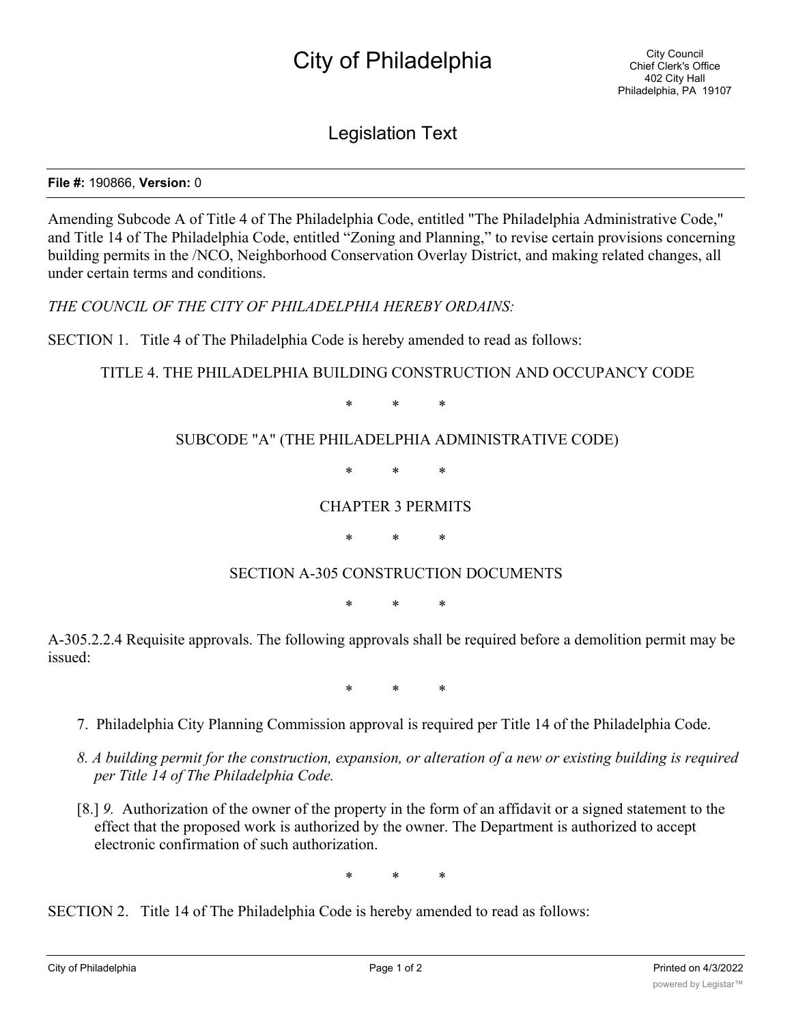# City of Philadelphia

Legislation Text

#### **File #:** 190866, **Version:** 0

Amending Subcode A of Title 4 of The Philadelphia Code, entitled "The Philadelphia Administrative Code," and Title 14 of The Philadelphia Code, entitled "Zoning and Planning," to revise certain provisions concerning building permits in the /NCO, Neighborhood Conservation Overlay District, and making related changes, all under certain terms and conditions.

*THE COUNCIL OF THE CITY OF PHILADELPHIA HEREBY ORDAINS:*

SECTION 1. Title 4 of The Philadelphia Code is hereby amended to read as follows:

## TITLE 4. THE PHILADELPHIA BUILDING CONSTRUCTION AND OCCUPANCY CODE

\* \* \*

## SUBCODE "A" (THE PHILADELPHIA ADMINISTRATIVE CODE)

\* \* \*

#### CHAPTER 3 PERMITS

\* \* \*

## SECTION A-305 CONSTRUCTION DOCUMENTS

\* \* \*

A-305.2.2.4 Requisite approvals. The following approvals shall be required before a demolition permit may be issued:

\* \* \*

- 7. Philadelphia City Planning Commission approval is required per Title 14 of the Philadelphia Code.
- *8. A building permit for the construction, expansion, or alteration of a new or existing building is required per Title 14 of The Philadelphia Code.*
- [8.] *9.* Authorization of the owner of the property in the form of an affidavit or a signed statement to the effect that the proposed work is authorized by the owner. The Department is authorized to accept electronic confirmation of such authorization.

\* \* \*

SECTION 2. Title 14 of The Philadelphia Code is hereby amended to read as follows: